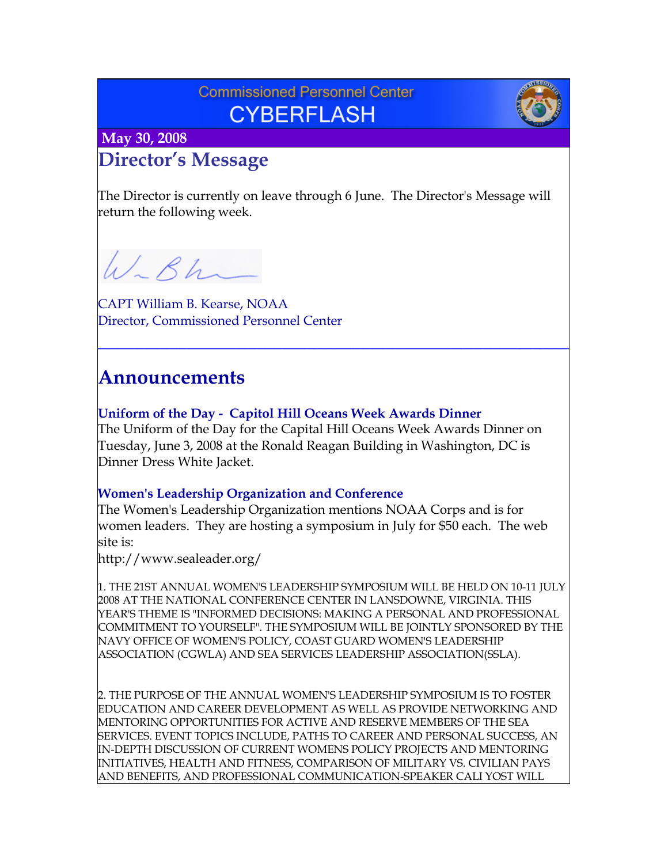## **Commissioned Personnel Center CYBERFLASH**



 **May 30, 2008**

# **Director's Message**

The Director is currently on leave through 6 June. The Director's Message will return the following week.

W.Bh

CAPT William B. Kearse, NOAA Director, Commissioned Personnel Center

## **Announcements**

**Uniform of the Day - Capitol Hill Oceans Week Awards Dinner** The Uniform of the Day for the Capital Hill Oceans Week Awards Dinner on Tuesday, June 3, 2008 at the Ronald Reagan Building in Washington, DC is Dinner Dress White Jacket.

**\_\_\_\_\_\_\_\_\_\_\_\_\_\_\_\_\_\_\_\_\_\_\_\_\_\_\_\_\_\_\_\_\_\_\_\_\_\_\_\_\_\_\_\_\_\_\_\_**

### **Women's Leadership Organization and Conference**

The Women's Leadership Organization mentions NOAA Corps and is for women leaders. They are hosting a symposium in July for \$50 each. The web site is:

<http://www.sealeader.org/>

1. THE 21ST ANNUAL WOMEN'S LEADERSHIP SYMPOSIUM WILL BE HELD ON 10-11 JULY 2008 AT THE NATIONAL CONFERENCE CENTER IN LANSDOWNE, VIRGINIA. THIS YEAR'S THEME IS "INFORMED DECISIONS: MAKING A PERSONAL AND PROFESSIONAL COMMITMENT TO YOURSELF". THE SYMPOSIUM WILL BE JOINTLY SPONSORED BY THE NAVY OFFICE OF WOMEN'S POLICY, COAST GUARD WOMEN'S LEADERSHIP ASSOCIATION (CGWLA) AND SEA SERVICES LEADERSHIP ASSOCIATION(SSLA).

2. THE PURPOSE OF THE ANNUAL WOMEN'S LEADERSHIP SYMPOSIUM IS TO FOSTER EDUCATION AND CAREER DEVELOPMENT AS WELL AS PROVIDE NETWORKING AND MENTORING OPPORTUNITIES FOR ACTIVE AND RESERVE MEMBERS OF THE SEA SERVICES. EVENT TOPICS INCLUDE, PATHS TO CAREER AND PERSONAL SUCCESS, AN IN-DEPTH DISCUSSION OF CURRENT WOMENS POLICY PROJECTS AND MENTORING INITIATIVES, HEALTH AND FITNESS, COMPARISON OF MILITARY VS. CIVILIAN PAYS AND BENEFITS, AND PROFESSIONAL COMMUNICATION-SPEAKER CALI YOST WILL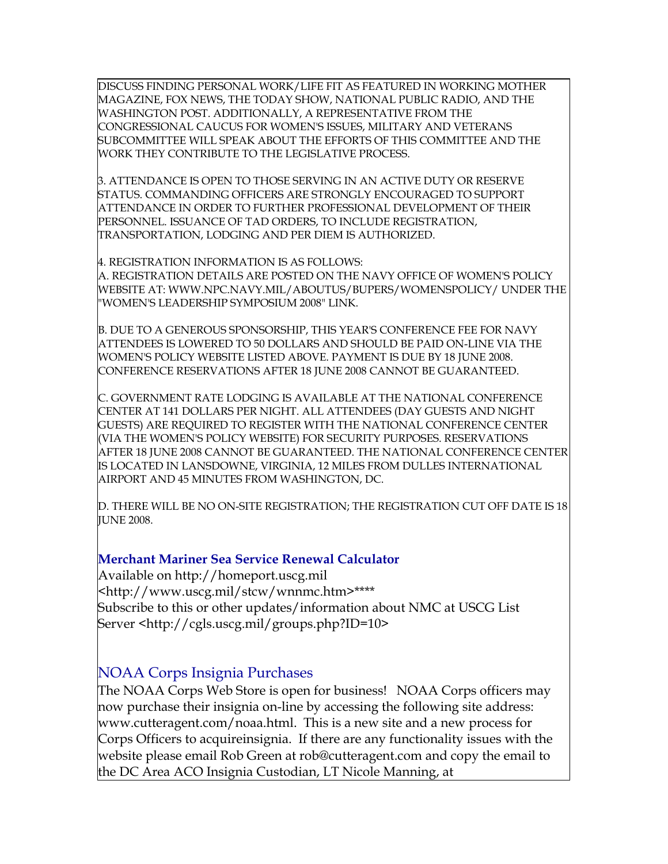DISCUSS FINDING PERSONAL WORK/LIFE FIT AS FEATURED IN WORKING MOTHER MAGAZINE, FOX NEWS, THE TODAY SHOW, NATIONAL PUBLIC RADIO, AND THE WASHINGTON POST. ADDITIONALLY, A REPRESENTATIVE FROM THE CONGRESSIONAL CAUCUS FOR WOMEN'S ISSUES, MILITARY AND VETERANS SUBCOMMITTEE WILL SPEAK ABOUT THE EFFORTS OF THIS COMMITTEE AND THE WORK THEY CONTRIBUTE TO THE LEGISLATIVE PROCESS.

3. ATTENDANCE IS OPEN TO THOSE SERVING IN AN ACTIVE DUTY OR RESERVE STATUS. COMMANDING OFFICERS ARE STRONGLY ENCOURAGED TO SUPPORT ATTENDANCE IN ORDER TO FURTHER PROFESSIONAL DEVELOPMENT OF THEIR PERSONNEL. ISSUANCE OF TAD ORDERS, TO INCLUDE REGISTRATION, TRANSPORTATION, LODGING AND PER DIEM IS AUTHORIZED.

4. REGISTRATION INFORMATION IS AS FOLLOWS:

A. REGISTRATION DETAILS ARE POSTED ON THE NAVY OFFICE OF WOMEN'S POLICY WEBSITE AT: [WWW.NPC.NAVY.MIL/ABOUTUS/BUPERS/WOMENSPOLICY/](http://www.npc.navy.mil/ABOUTUS/BUPERS/WOMENSPOLICY/) UNDER THE "WOMEN'S LEADERSHIP SYMPOSIUM 2008" LINK.

B. DUE TO A GENEROUS SPONSORSHIP, THIS YEAR'S CONFERENCE FEE FOR NAVY ATTENDEES IS LOWERED TO 50 DOLLARS AND SHOULD BE PAID ON-LINE VIA THE WOMEN'S POLICY WEBSITE LISTED ABOVE. PAYMENT IS DUE BY 18 JUNE 2008. CONFERENCE RESERVATIONS AFTER 18 JUNE 2008 CANNOT BE GUARANTEED.

C. GOVERNMENT RATE LODGING IS AVAILABLE AT THE NATIONAL CONFERENCE CENTER AT 141 DOLLARS PER NIGHT. ALL ATTENDEES (DAY GUESTS AND NIGHT GUESTS) ARE REQUIRED TO REGISTER WITH THE NATIONAL CONFERENCE CENTER (VIA THE WOMEN'S POLICY WEBSITE) FOR SECURITY PURPOSES. RESERVATIONS AFTER 18 JUNE 2008 CANNOT BE GUARANTEED. THE NATIONAL CONFERENCE CENTER IS LOCATED IN LANSDOWNE, VIRGINIA, 12 MILES FROM DULLES INTERNATIONAL AIRPORT AND 45 MINUTES FROM WASHINGTON, DC.

D. THERE WILL BE NO ON-SITE REGISTRATION; THE REGISTRATION CUT OFF DATE IS 18 **IUNE 2008.** 

#### **Merchant Mariner Sea Service Renewal Calculator**

Available on [http://homeport.uscg.mil](http://homeport.uscg.mil/) [<http://www.uscg.mil/stcw/wnnmc.htm>](http://www.uscg.mil/stcw/wnnmc.htm)\*\*\*\* Subscribe to this or other updates/information about NMC at USCG List Server [<http://cgls.uscg.mil/groups.php?ID=10>](http://cgls.uscg.mil/groups.php?ID=10)

### NOAA Corps Insignia Purchases

The NOAA Corps Web Store is open for business! NOAA Corps officers may now purchase their insignia on-line by accessing the following site address: [www.cutteragent.com/noaa.html](http://www.cutteragent.com/noaa.html). This is a new site and a new process for Corps Officers to acquireinsignia. If there are any functionality issues with the website please email Rob Green at [rob@cutteragent.com](mailto:rob@cutteragent.com) and copy the email to the DC Area ACO Insignia Custodian, LT Nicole Manning, at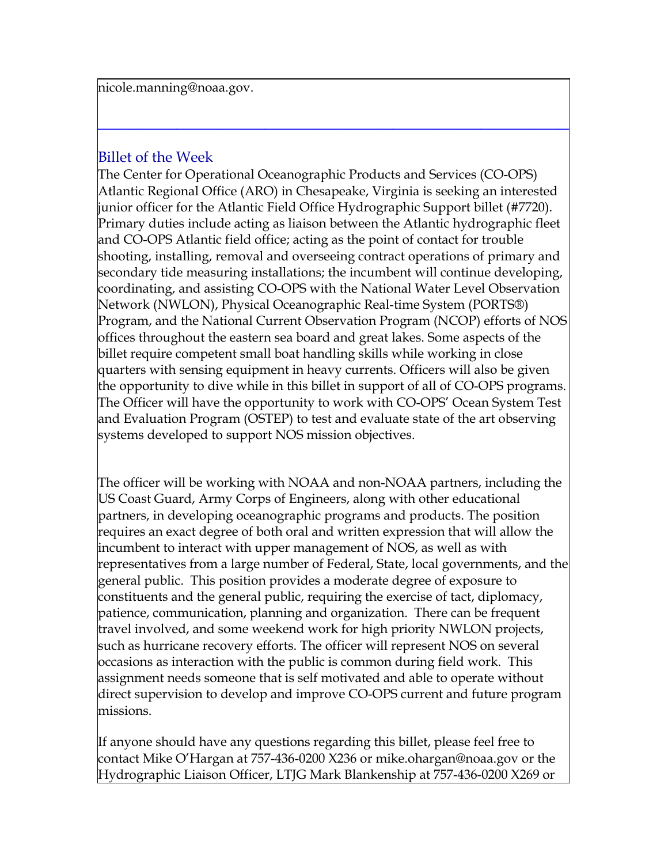[nicole.manning@noaa.gov.](mailto:nicole.manning@noaa.gov)

### Billet of the Week

The Center for Operational Oceanographic Products and Services (CO-OPS) Atlantic Regional Office (ARO) in Chesapeake, Virginia is seeking an interested junior officer for the Atlantic Field Office Hydrographic Support billet (#7720). Primary duties include acting as liaison between the Atlantic hydrographic fleet and CO-OPS Atlantic field office; acting as the point of contact for trouble shooting, installing, removal and overseeing contract operations of primary and secondary tide measuring installations; the incumbent will continue developing, coordinating, and assisting CO-OPS with the National Water Level Observation Network (NWLON), Physical Oceanographic Real-time System (PORTS®) Program, and the National Current Observation Program (NCOP) efforts of NOS offices throughout the eastern sea board and great lakes. Some aspects of the billet require competent small boat handling skills while working in close quarters with sensing equipment in heavy currents. Officers will also be given the opportunity to dive while in this billet in support of all of CO-OPS programs. The Officer will have the opportunity to work with CO-OPS' Ocean System Test and Evaluation Program (OSTEP) to test and evaluate state of the art observing systems developed to support NOS mission objectives.

**\_\_\_\_\_\_\_\_\_\_\_\_\_\_\_\_\_\_\_\_\_\_\_\_\_\_\_\_\_\_\_\_\_\_\_\_\_\_\_\_\_\_\_\_\_\_\_\_**

The officer will be working with NOAA and non-NOAA partners, including the US Coast Guard, Army Corps of Engineers, along with other educational partners, in developing oceanographic programs and products. The position requires an exact degree of both oral and written expression that will allow the incumbent to interact with upper management of NOS, as well as with representatives from a large number of Federal, State, local governments, and the general public. This position provides a moderate degree of exposure to constituents and the general public, requiring the exercise of tact, diplomacy, patience, communication, planning and organization. There can be frequent travel involved, and some weekend work for high priority NWLON projects, such as hurricane recovery efforts. The officer will represent NOS on several occasions as interaction with the public is common during field work. This assignment needs someone that is self motivated and able to operate without direct supervision to develop and improve CO-OPS current and future program missions.

If anyone should have any questions regarding this billet, please feel free to contact Mike O'Hargan at 757-436-0200 X236 or [mike.ohargan@noaa.gov](mailto:mike.ohargan@noaa.gov) or the Hydrographic Liaison Officer, LTJG Mark Blankenship at 757-436-0200 X269 or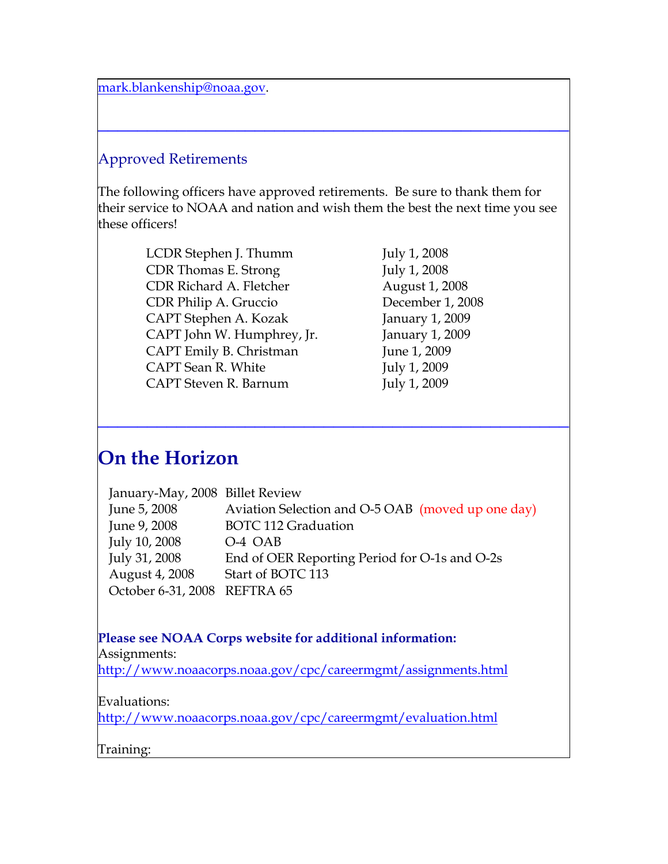[mark.blankenship@noaa.gov.](mailto:mark.blankenship@noaa.gov)

## Approved Retirements

The following officers have approved retirements. Be sure to thank them for their service to NOAA and nation and wish them the best the next time you see these officers!

**\_\_\_\_\_\_\_\_\_\_\_\_\_\_\_\_\_\_\_\_\_\_\_\_\_\_\_\_\_\_\_\_\_\_\_\_\_\_\_\_\_\_\_\_\_\_\_\_**

LCDR Stephen J. Thumm July 1, 2008 CDR Thomas E. Strong July 1, 2008 CDR Richard A. Fletcher August 1, 2008 CDR Philip A. Gruccio December 1, 2008 CAPT Stephen A. Kozak January 1, 2009 CAPT John W. Humphrey, Jr. January 1, 2009 CAPT Emily B. Christman June 1, 2009 CAPT Sean R. White July 1, 2009 CAPT Steven R. Barnum July 1, 2009

## **On the Horizon**

| January-May, 2008 Billet Review |                                                   |
|---------------------------------|---------------------------------------------------|
| June 5, 2008                    | Aviation Selection and O-5 OAB (moved up one day) |
| June 9, 2008                    | <b>BOTC 112 Graduation</b>                        |
| July 10, 2008                   | O-4 OAB                                           |
| July 31, 2008                   | End of OER Reporting Period for O-1s and O-2s     |
| August 4, 2008                  | Start of BOTC 113                                 |
| October 6-31, 2008 REFTRA 65    |                                                   |

**\_\_\_\_\_\_\_\_\_\_\_\_\_\_\_\_\_\_\_\_\_\_\_\_\_\_\_\_\_\_\_\_\_\_\_\_\_\_\_\_\_\_\_\_\_\_\_\_**

#### **Please see NOAA Corps website for additional information:**

Assignments:

<http://www.noaacorps.noaa.gov/cpc/careermgmt/assignments.html>

#### Evaluations:

<http://www.noaacorps.noaa.gov/cpc/careermgmt/evaluation.html>

#### Training: